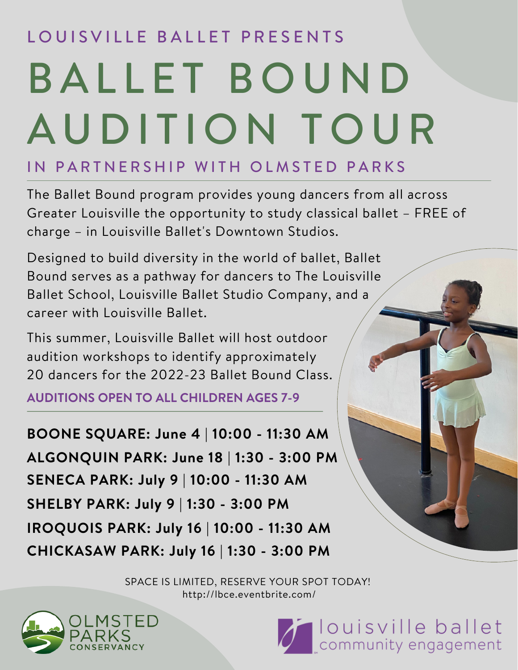## LOUISVILLE BALLET PRESENTS BALLET BOUND AUDITION TOUR

## IN PARTNERSHIP WITH OLMSTED PARKS

The Ballet Bound program provides young dancers from all across Greater Louisville the opportunity to study classical ballet – FREE of charge – in Louisville Ballet's Downtown Studios.

Designed to build diversity in the world of ballet, Ballet Bound serves as a pathway for dancers to The Louisville Ballet School, Louisville Ballet Studio Company, and a career with Louisville Ballet.

This summer, Louisville Ballet will host outdoor audition workshops to identify approximately 20 dancers for the 2022-23 Ballet Bound Class.

**AUDITIONS OPEN TO ALL CHILDREN AGES 7-9**

**BOONE SQUARE: June 4 | 10:00 - 11:30 AM ALGONQUIN PARK: June 18 | 1:30 - 3:00 PM SENECA PARK: July 9 | 10:00 - 11:30 AM SHELBY PARK: July 9 | 1:30 - 3:00 PM IROQUOIS PARK: July 16 | 10:00 - 11:30 AM CHICKASAW PARK: July 16 | 1:30 - 3:00 PM**



SPACE IS LIMITED, RESERVE YOUR SPOT TODAY! http://lbce.eventbrite.com/



Community engagement